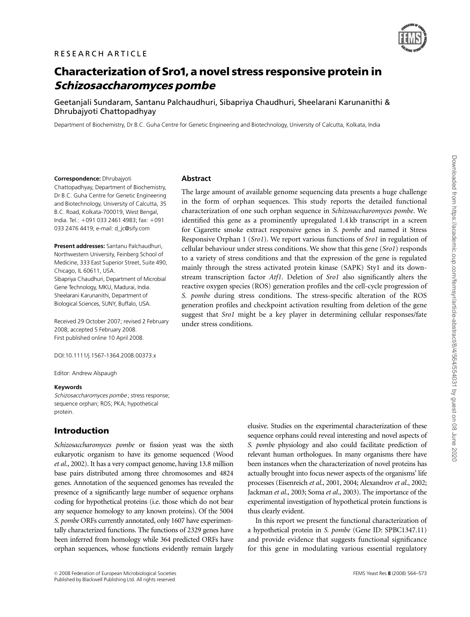

# Characterization of Sro1, a novel stress responsive protein in Schizosaccharomyces pombe

Geetanjali Sundaram, Santanu Palchaudhuri, Sibapriya Chaudhuri, Sheelarani Karunanithi & Dhrubajyoti Chattopadhyay

Department of Biochemistry, Dr B.C. Guha Centre for Genetic Engineering and Biotechnology, University of Calcutta, Kolkata, India

#### Correspondence: Dhrubajyoti

Chattopadhyay, Department of Biochemistry, Dr B.C. Guha Centre for Genetic Engineering and Biotechnology, University of Calcutta, 35 B.C. Road, Kolkata-700019, West Bengal, India. Tel.: +091 033 2461 4983; fax: +091 033 2476 4419; e-mail: d\_jc@sify.com

Present addresses: Santanu Palchaudhuri, Northwestern University, Feinberg School of Medicine, 333 East Superior Street, Suite 490, Chicago, IL 60611, USA. Sibapriya Chaudhuri, Department of Microbial Gene Technology, MKU, Madurai, India. Sheelarani Karunanithi, Department of Biological Sciences, SUNY, Buffalo, USA.

Received 29 October 2007; revised 2 February 2008; accepted 5 February 2008. First published online 10 April 2008.

DOI:10.1111/j.1567-1364.2008.00373.x

Editor: Andrew Alspaugh

#### Keywords

Schizosaccharomyces pombe ; stress response; sequence orphan; ROS; PKA; hypothetical protein.

# Introduction

Schizosaccharomyces pombe or fission yeast was the sixth eukaryotic organism to have its genome sequenced (Wood et al., 2002). It has a very compact genome, having 13.8 million base pairs distributed among three chromosomes and 4824 genes. Annotation of the sequenced genomes has revealed the presence of a significantly large number of sequence orphans coding for hypothetical proteins (i.e. those which do not bear any sequence homology to any known proteins). Of the 5004 S. pombe ORFs currently annotated, only 1607 have experimentally characterized functions. The functions of 2329 genes have been inferred from homology while 364 predicted ORFs have orphan sequences, whose functions evidently remain largely

# Abstract

The large amount of available genome sequencing data presents a huge challenge in the form of orphan sequences. This study reports the detailed functional characterization of one such orphan sequence in Schizosaccharomyces pombe. We identified this gene as a prominently upregulated 1.4 kb transcript in a screen for Cigarette smoke extract responsive genes in S. pombe and named it Stress Responsive Orphan 1 (Sro1). We report various functions of Sro1 in regulation of cellular behaviour under stress conditions. We show that this gene (Sro1) responds to a variety of stress conditions and that the expression of the gene is regulated mainly through the stress activated protein kinase (SAPK) Sty1 and its downstream transcription factor Atf1. Deletion of Sro1 also significantly alters the reactive oxygen species (ROS) generation profiles and the cell-cycle progression of S. pombe during stress conditions. The stress-specific alteration of the ROS generation profiles and checkpoint activation resulting from deletion of the gene suggest that *Sro1* might be a key player in determining cellular responses/fate under stress conditions.

> elusive. Studies on the experimental characterization of these sequence orphans could reveal interesting and novel aspects of S. pombe physiology and also could facilitate prediction of relevant human orthologues. In many organisms there have been instances when the characterization of novel proteins has actually brought into focus newer aspects of the organisms' life processes (Eisenreich et al., 2001, 2004; Alexandrov et al., 2002; Jackman et al., 2003; Soma et al., 2003). The importance of the experimental investigation of hypothetical protein functions is thus clearly evident.

> In this report we present the functional characterization of a hypothetical protein in S. pombe (Gene ID: SPBC1347.11) and provide evidence that suggests functional significance for this gene in modulating various essential regulatory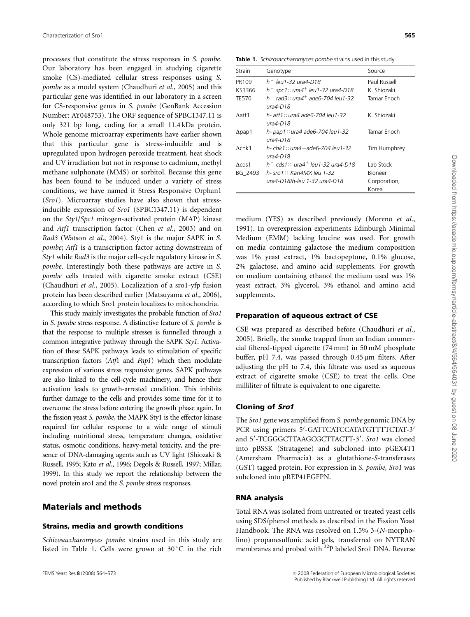processes that constitute the stress responses in S. pombe. Our laboratory has been engaged in studying cigarette smoke (CS)-mediated cellular stress responses using S. pombe as a model system (Chaudhuri et al., 2005) and this particular gene was identified in our laboratory in a screen for CS-responsive genes in S. pombe (GenBank Accession Number: AY048753). The ORF sequence of SPBC1347.11 is only 321 bp long, coding for a small 11.4 kDa protein. Whole genome microarray experiments have earlier shown that this particular gene is stress-inducible and is upregulated upon hydrogen peroxide treatment, heat shock and UV irradiation but not in response to cadmium, methyl methane sulphonate (MMS) or sorbitol. Because this gene has been found to be induced under a variety of stress conditions, we have named it Stress Responsive Orphan1 (Sro1). Microarray studies have also shown that stressinducible expression of Sro1 (SPBC1347.11) is dependent on the Sty1/Spc1 mitogen-activated protein (MAP) kinase and Atf1 transcription factor (Chen et al., 2003) and on Rad3 (Watson et al., 2004). Sty1 is the major SAPK in S. pombe; Atf1 is a transcription factor acting downstream of Sty1 while Rad3 is the major cell-cycle regulatory kinase in S. pombe. Interestingly both these pathways are active in S. pombe cells treated with cigarette smoke extract (CSE) (Chaudhuri et al., 2005). Localization of a sro1-yfp fusion protein has been described earlier (Matsuyama et al., 2006), according to which Sro1 protein localizes to mitochondria.

This study mainly investigates the probable function of Sro1 in S. pombe stress response. A distinctive feature of S. pombe is that the response to multiple stresses is funnelled through a common integrative pathway through the SAPK Sty1. Activation of these SAPK pathways leads to stimulation of specific transcription factors (Atf1 and Pap1) which then modulate expression of various stress responsive genes. SAPK pathways are also linked to the cell-cycle machinery, and hence their activation leads to growth-arrested condition. This inhibits further damage to the cells and provides some time for it to overcome the stress before entering the growth phase again. In the fission yeast S. pombe, the MAPK Sty1 is the effector kinase required for cellular response to a wide range of stimuli including nutritional stress, temperature changes, oxidative status, osmotic conditions, heavy-metal toxicity, and the presence of DNA-damaging agents such as UV light (Shiozaki & Russell, 1995; Kato et al., 1996; Degols & Russell, 1997; Millar, 1999). In this study we report the relationship between the novel protein sro1 and the S. pombe stress responses.

# Materials and methods

#### Strains, media and growth conditions

Schizosaccharomyces pombe strains used in this study are listed in Table 1. Cells were grown at 30 °C in the rich

Table 1. Schizosaccharomyces pombe strains used in this study

| Strain         | Genotype                                                      | Source         |
|----------------|---------------------------------------------------------------|----------------|
| PR109          | h <sup>-</sup> leu1-32 ura4-D18                               | Paul Russell   |
| KS1366         | $h^-$ spc1:: ura4 <sup>+</sup> leu1-32 ura4-D18               | K. Shiozaki    |
| <b>TE570</b>   | $h^-$ rad3:: ura4 <sup>+</sup> ade6-704 leu1-32<br>$ura4-D18$ | Tamar Enoch    |
| $\Lambda$ atf1 | h- atf1:: ura4 ade6-704 leu1-32<br>$ura4-D18$                 | K. Shiozaki    |
| $\Delta$ pap1  | h- pap1:: ura4 ade6-704 leu1-32<br>$ura4-D18$                 | Tamar Enoch    |
| $\Lambda$ chk1 | h- chk1::ura4+ade6-704 leu1-32<br>$ura4-D18$                  | Tim Humphrey   |
| Acds1          | $h^-$ cds1:: ura4 <sup>+</sup> leu1-32 ura4-D18               | Lab Stock      |
| BG 2493        | h-sro $1$ :: Kan $4MX$ leu 1-32                               | <b>Bioneer</b> |
|                | ura4-D18/h-leu 1-32 ura4-D18                                  | Corporation,   |
|                |                                                               | Korea          |

medium (YES) as described previously (Moreno et al., 1991). In overexpression experiments Edinburgh Minimal Medium (EMM) lacking leucine was used. For growth on media containing galactose the medium composition was 1% yeast extract, 1% bactopeptone, 0.1% glucose, 2% galactose, and amino acid supplements. For growth on medium containing ethanol the medium used was 1% yeast extract, 3% glycerol, 3% ethanol and amino acid supplements.

#### Preparation of aqueous extract of CSE

CSE was prepared as described before (Chaudhuri et al., 2005). Briefly, the smoke trapped from an Indian commercial filtered-tipped cigarette (74 mm) in 50 mM phosphate buffer, pH 7.4, was passed through  $0.45 \mu m$  filters. After adjusting the pH to 7.4, this filtrate was used as aqueous extract of cigarette smoke (CSE) to treat the cells. One milliliter of filtrate is equivalent to one cigarette.

#### Cloning of Sro1

The Sro1 gene was amplified from S. pombe genomic DNA by PCR using primers 5'-GATTCATCCATATGTTTTCTAT-3' and 5'-TCGGGCTTAAGCGCTTACTT-3'. Sro1 was cloned into pBSSK (Stratagene) and subcloned into pGEX4T1 (Amersham Pharmacia) as a glutathione-S-transferases (GST) tagged protein. For expression in S. pombe, Sro1 was subcloned into pREP41EGFPN.

## RNA analysis

Total RNA was isolated from untreated or treated yeast cells using SDS/phenol methods as described in the Fission Yeast Handbook. The RNA was resolved on 1.5% 3-(N-morpholino) propanesulfonic acid gels, transferred on NYTRAN membranes and probed with <sup>32</sup>P labeled Sro1 DNA. Reverse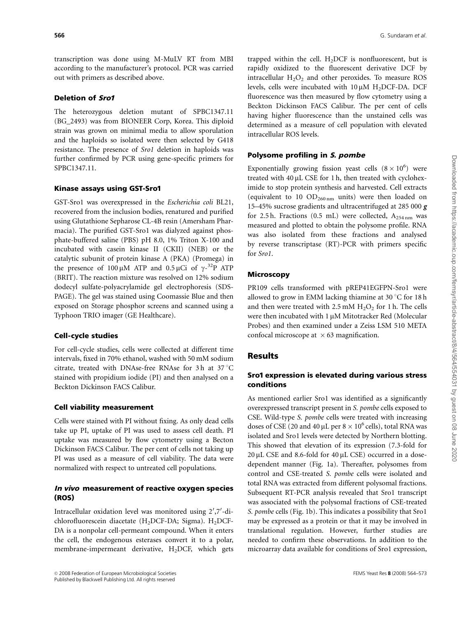transcription was done using M-MuLV RT from MBI according to the manufacturer's protocol. PCR was carried out with primers as described above.

## Deletion of Sro1

The heterozygous deletion mutant of SPBC1347.11 (BG\_2493) was from BIONEER Corp, Korea. This diploid strain was grown on minimal media to allow sporulation and the haploids so isolated were then selected by G418 resistance. The presence of Sro1 deletion in haploids was further confirmed by PCR using gene-specific primers for SPBC1347.11.

#### Kinase assays using GST-Sro1

GST-Sro1 was overexpressed in the Escherichia coli BL21, recovered from the inclusion bodies, renatured and purified using Glutathione Sepharose CL-4B resin (Amersham Pharmacia). The purified GST-Sro1 was dialyzed against phosphate-buffered saline (PBS) pH 8.0, 1% Triton X-100 and incubated with casein kinase II (CKII) (NEB) or the catalytic subunit of protein kinase A (PKA) (Promega) in the presence of  $100 \mu M$  ATP and  $0.5 \mu C$ i of  $\gamma$ -<sup>32</sup>P ATP (BRIT). The reaction mixture was resolved on 12% sodium dodecyl sulfate-polyacrylamide gel electrophoresis (SDS-PAGE). The gel was stained using Coomassie Blue and then exposed on Storage phosphor screens and scanned using a Typhoon TRIO imager (GE Healthcare).

## Cell-cycle studies

For cell-cycle studies, cells were collected at different time intervals, fixed in 70% ethanol, washed with 50 mM sodium citrate, treated with DNAse-free RNAse for 3h at 37 $\degree$ C stained with propidium iodide (PI) and then analysed on a Beckton Dickinson FACS Calibur.

#### Cell viability measurement

Cells were stained with PI without fixing. As only dead cells take up PI, uptake of PI was used to assess cell death. PI uptake was measured by flow cytometry using a Becton Dickinson FACS Calibur. The per cent of cells not taking up PI was used as a measure of cell viability. The data were normalized with respect to untreated cell populations.

## In vivo measurement of reactive oxygen species (ROS)

Intracellular oxidation level was monitored using 2',7'-dichlorofluorescein diacetate (H<sub>2</sub>DCF-DA; Sigma). H<sub>2</sub>DCF-DA is a nonpolar cell-permeant compound. When it enters the cell, the endogenous esterases convert it to a polar, membrane-impermeant derivative,  $H_2$ DCF, which gets trapped within the cell.  $H_2DCF$  is nonfluorescent, but is rapidly oxidized to the fluorescent derivative DCF by intracellular  $H_2O_2$  and other peroxides. To measure ROS levels, cells were incubated with  $10 \mu M H_2$ DCF-DA. DCF fluorescence was then measured by flow cytometry using a Beckton Dickinson FACS Calibur. The per cent of cells having higher fluorescence than the unstained cells was determined as a measure of cell population with elevated intracellular ROS levels.

## Polysome profiling in S. pombe

Exponentially growing fission yeast cells  $(8 \times 10^6)$  were treated with  $40 \mu$ L CSE for 1 h, then treated with cycloheximide to stop protein synthesis and harvested. Cell extracts (equivalent to 10  $OD<sub>260 nm</sub>$  units) were then loaded on 15–45% sucrose gradients and ultracentrifuged at 285 000 *g* for 2.5 h. Fractions (0.5 mL) were collected,  $A_{254 \text{ nm}}$  was measured and plotted to obtain the polysome profile. RNA was also isolated from these fractions and analysed by reverse transcriptase (RT)-PCR with primers specific for Sro1.

## **Microscopy**

PR109 cells transformed with pREP41EGFPN-Sro1 were allowed to grow in EMM lacking thiamine at  $30^{\circ}$ C for 18 h and then were treated with  $2.5 \text{ mM H}_2\text{O}_2$  for 1 h. The cells were then incubated with 1 µM Mitotracker Red (Molecular Probes) and then examined under a Zeiss LSM 510 META confocal microscope at  $\times$  63 magnification.

# Results

## Sro1 expression is elevated during various stress conditions

As mentioned earlier Sro1 was identified as a significantly overexpressed transcript present in S. pombe cells exposed to CSE. Wild-type S. pombe cells were treated with increasing doses of CSE (20 and 40 µL per  $8 \times 10^6$  cells), total RNA was isolated and Sro1 levels were detected by Northern blotting. This showed that elevation of its expression (7.3-fold for  $20 \mu$ L CSE and 8.6-fold for 40  $\mu$ L CSE) occurred in a dosedependent manner (Fig. 1a). Thereafter, polysomes from control and CSE-treated S. pombe cells were isolated and total RNA was extracted from different polysomal fractions. Subsequent RT-PCR analysis revealed that Sro1 transcript was associated with the polysomal fractions of CSE-treated S. pombe cells (Fig. 1b). This indicates a possibility that Sro1 may be expressed as a protein or that it may be involved in translational regulation. However, further studies are needed to confirm these observations. In addition to the microarray data available for conditions of Sro1 expression,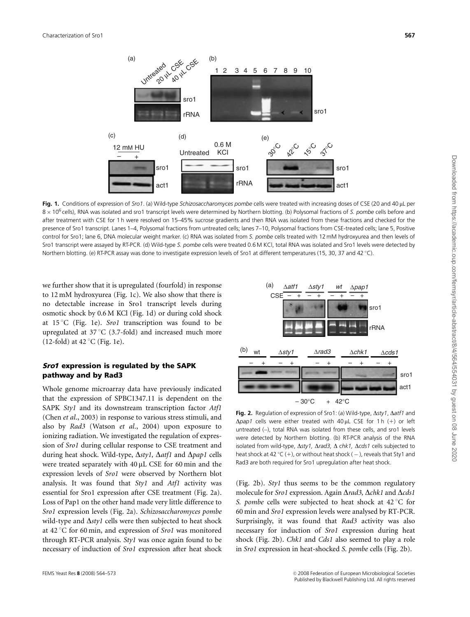

Fig. 1. Conditions of expression of Sro1. (a) Wild-type Schizosaccharomyces pombe cells were treated with increasing doses of CSE (20 and 40 µL per  $8 \times 10^6$  cells), RNA was isolated and sro1 transcript levels were determined by Northern blotting. (b) Polysomal fractions of S. pombe cells before and after treatment with CSE for 1 h were resolved on 15–45% sucrose gradients and then RNA was isolated from these fractions and checked for the presence of Sro1 transcript. Lanes 1–4, Polysomal fractions from untreated cells; lanes 7–10, Polysomal fractions from CSE-treated cells; lane 5, Positive control for Sro1; lane 6, DNA molecular weight marker. (c) RNA was isolated from S. pombe cells treated with 12 mM hydroxyurea and then levels of Sro1 transcript were assayed by RT-PCR. (d) Wild-type S. pombe cells were treated 0.6 M KCl, total RNA was isolated and Sro1 levels were detected by Northern blotting. (e) RT-PCR assay was done to investigate expression levels of Sro1 at different temperatures (15, 30, 37 and 42 °C).

we further show that it is upregulated (fourfold) in response to 12 mM hydroxyurea (Fig. 1c). We also show that there is no detectable increase in Sro1 transcript levels during osmotic shock by 0.6 M KCl (Fig. 1d) or during cold shock at  $15^{\circ}$ C (Fig. 1e). Srol transcription was found to be upregulated at  $37^{\circ}$ C (3.7-fold) and increased much more  $(12$ -fold) at  $42^{\circ}$ C (Fig. 1e).

#### Sro1 expression is regulated by the SAPK pathway and by Rad3

Whole genome microarray data have previously indicated that the expression of SPBC1347.11 is dependent on the SAPK Sty1 and its downstream transcription factor Atf1 (Chen et al., 2003) in response to various stress stimuli, and also by Rad3 (Watson et al., 2004) upon exposure to ionizing radiation. We investigated the regulation of expression of Sro1 during cellular response to CSE treatment and during heat shock. Wild-type,  $\Delta s$ tyl,  $\Delta at$ fl and  $\Delta p$ ap1 cells were treated separately with  $40 \mu L$  CSE for 60 min and the expression levels of Sro1 were observed by Northern blot analysis. It was found that Sty1 and Atf1 activity was essential for Sro1 expression after CSE treatment (Fig. 2a). Loss of Pap1 on the other hand made very little difference to Sro1 expression levels (Fig. 2a). Schizosaccharomyces pombe wild-type and  $\Delta s tyl$  cells were then subjected to heat shock at  $42^{\circ}$ C for 60 min, and expression of *Sro1* was monitored through RT-PCR analysis. Sty1 was once again found to be necessary of induction of Sro1 expression after heat shock



Fig. 2. Regulation of expression of Sro1: (a) Wild-type,  $\Delta s t v 1$ ,  $\Delta at f1$  and  $\Delta$ pap1 cells were either treated with 40 µL CSE for 1 h (+) or left untreated  $(-)$ , total RNA was isolated from these cells, and sro1 levels were detected by Northern blotting. (b) RT-PCR analysis of the RNA isolated from wild-type,  $\Delta s$ ty1,  $\Delta rad3$ ,  $\Delta chk1$ ,  $\Delta cds1$  cells subjected to heat shock at 42 °C (+), or without heat shock ( $-$ ), reveals that Sty1 and Rad3 are both required for Sro1 upregulation after heat shock.

(Fig. 2b). Sty1 thus seems to be the common regulatory molecule for Sro1 expression. Again  $\Delta$ rad3,  $\Delta$ chk1 and  $\Delta$ cds1 S. pombe cells were subjected to heat shock at  $42^{\circ}$ C for 60 min and Sro1 expression levels were analysed by RT-PCR. Surprisingly, it was found that Rad3 activity was also necessary for induction of Sro1 expression during heat shock (Fig. 2b). Chk1 and Cds1 also seemed to play a role in Sro1 expression in heat-shocked S. pombe cells (Fig. 2b).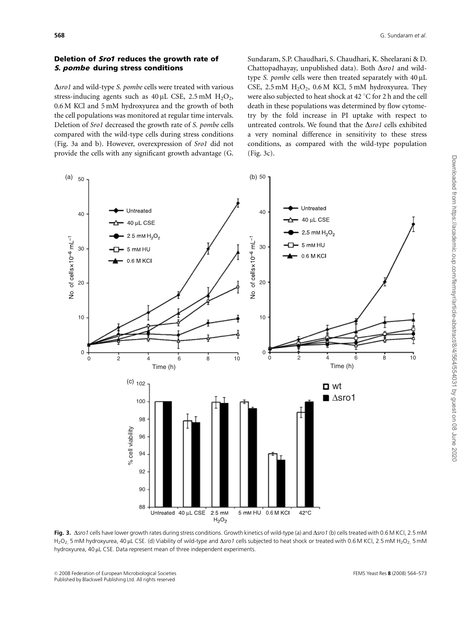## Deletion of Sro1 reduces the growth rate of S. pombe during stress conditions

 $\Delta$ *sro1* and wild-type *S. pombe cells were treated with various* stress-inducing agents such as  $40 \mu L$  CSE, 2.5 mM  $H_2O_2$ , 0.6 M KCl and 5 mM hydroxyurea and the growth of both the cell populations was monitored at regular time intervals. Deletion of Sro1 decreased the growth rate of S. pombe cells compared with the wild-type cells during stress conditions (Fig. 3a and b). However, overexpression of Sro1 did not provide the cells with any significant growth advantage (G.

Sundaram, S.P. Chaudhari, S. Chaudhari, K. Sheelarani & D. Chattopadhayay, unpublished data). Both  $\Delta s$ ro1 and wildtype S. pombe cells were then treated separately with  $40 \mu L$ CSE, 2.5 mM  $H_2O_2$ , 0.6 M KCl, 5 mM hydroxyurea. They were also subjected to heat shock at  $42^{\circ}$ C for 2 h and the cell death in these populations was determined by flow cytometry by the fold increase in PI uptake with respect to untreated controls. We found that the  $\Delta s$ ro1 cells exhibited a very nominal difference in sensitivity to these stress conditions, as compared with the wild-type population (Fig. 3c).



Fig. 3. Asro1 cells have lower growth rates during stress conditions. Growth kinetics of wild-type (a) and Asro1 (b) cells treated with 0.6 M KCl, 2.5 mM H<sub>2</sub>O<sub>2</sub> 5 mM hydroxyurea, 40 µL CSE. (d) Viability of wild-type and  $\Delta s$ ro1 cells subjected to heat shock or treated with 0.6 M KCl, 2.5 mM H<sub>2</sub>O<sub>2</sub> 5 mM hydroxyurea, 40 µL CSE. Data represent mean of three independent experiments.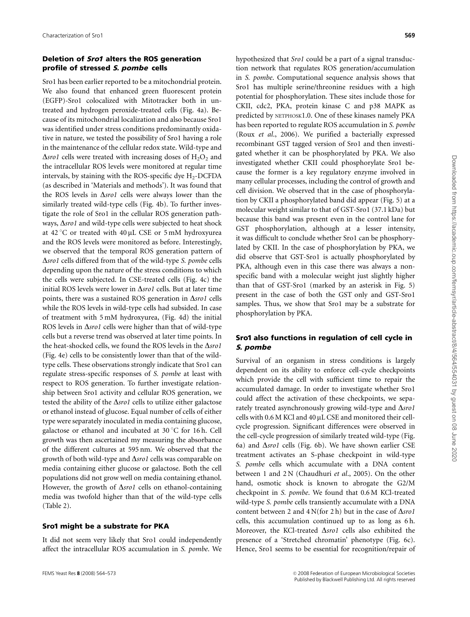## Deletion of Sro1 alters the ROS generation profile of stressed S. pombe cells

Sro1 has been earlier reported to be a mitochondrial protein. We also found that enhanced green fluorescent protein (EGFP)-Sro1 colocalized with Mitotracker both in untreated and hydrogen peroxide-treated cells (Fig. 4a). Because of its mitochondrial localization and also because Sro1 was identified under stress conditions predominantly oxidative in nature, we tested the possibility of Sro1 having a role in the maintenance of the cellular redox state. Wild-type and  $\Delta$ sro1 cells were treated with increasing doses of H<sub>2</sub>O<sub>2</sub> and the intracellular ROS levels were monitored at regular time intervals, by staining with the ROS-specific dye  $H_2$ -DCFDA (as described in 'Materials and methods'). It was found that the ROS levels in  $\Delta s$ ro1 cells were always lower than the similarly treated wild-type cells (Fig. 4b). To further investigate the role of Sro1 in the cellular ROS generation pathways,  $\Delta$ *sro1* and wild-type cells were subjected to heat shock at  $42^{\circ}$ C or treated with  $40 \mu$ L CSE or 5 mM hydroxyurea and the ROS levels were monitored as before. Interestingly, we observed that the temporal ROS generation pattern of  $\Delta$ sro1 cells differed from that of the wild-type S. pombe cells depending upon the nature of the stress conditions to which the cells were subjected. In CSE-treated cells (Fig. 4c) the initial ROS levels were lower in  $\Delta s$ ro1 cells. But at later time points, there was a sustained ROS generation in  $\Delta$ *sro1* cells while the ROS levels in wild-type cells had subsided. In case of treatment with 5 mM hydroxyurea, (Fig. 4d) the initial ROS levels in  $\Delta$ *sro1* cells were higher than that of wild-type cells but a reverse trend was observed at later time points. In the heat-shocked cells, we found the ROS levels in the  $\Delta$ sro1 (Fig. 4e) cells to be consistently lower than that of the wildtype cells. These observations strongly indicate that Sro1 can regulate stress-specific responses of S. pombe at least with respect to ROS generation. To further investigate relationship between Sro1 activity and cellular ROS generation, we tested the ability of the  $\Delta s$ rol cells to utilize either galactose or ethanol instead of glucose. Equal number of cells of either type were separately inoculated in media containing glucose, galactose or ethanol and incubated at 30 °C for 16 h. Cell growth was then ascertained my measuring the absorbance of the different cultures at 595 nm. We observed that the growth of both wild-type and  $\Delta s$ rol cells was comparable on media containing either glucose or galactose. Both the cell populations did not grow well on media containing ethanol. However, the growth of  $\Delta s$ rol cells on ethanol-containing media was twofold higher than that of the wild-type cells (Table 2).

#### Sro1 might be a substrate for PKA

It did not seem very likely that Sro1 could independently affect the intracellular ROS accumulation in S. pombe. We

hypothesized that Sro1 could be a part of a signal transduction network that regulates ROS generation/accumulation in S. pombe. Computational sequence analysis shows that Sro1 has multiple serine/threonine residues with a high potential for phosphorylation. These sites include those for CKII, cdc2, PKA, protein kinase C and p38 MAPK as predicted by NETPHOSK1.0. One of these kinases namely PKA has been reported to regulate ROS accumulation in S. pombe (Roux et al., 2006). We purified a bacterially expressed recombinant GST tagged version of Sro1 and then investigated whether it can be phosphorylated by PKA. We also investigated whether CKII could phosphorylate Sro1 because the former is a key regulatory enzyme involved in many cellular processes, including the control of growth and cell division. We observed that in the case of phosphorylation by CKII a phosphorylated band did appear (Fig. 5) at a molecular weight similar to that of GST-Sro1 (37.1 kDa) but because this band was present even in the control lane for GST phosphorylation, although at a lesser intensity, it was difficult to conclude whether Sro1 can be phosphorylated by CKII. In the case of phosphorylation by PKA, we did observe that GST-Sro1 is actually phosphorylated by PKA, although even in this case there was always a nonspecific band with a molecular weight just slightly higher than that of GST-Sro1 (marked by an asterisk in Fig. 5) present in the case of both the GST only and GST-Sro1 samples. Thus, we show that Sro1 may be a substrate for phosphorylation by PKA.

# Sro1 also functions in regulation of cell cycle in S. pombe

Survival of an organism in stress conditions is largely dependent on its ability to enforce cell-cycle checkpoints which provide the cell with sufficient time to repair the accumulated damage. In order to investigate whether Sro1 could affect the activation of these checkpoints, we separately treated asynchronously growing wild-type and  $\Delta$ sro1 cells with  $0.6$  M KCl and  $40 \mu$ L CSE and monitored their cellcycle progression. Significant differences were observed in the cell-cycle progression of similarly treated wild-type (Fig. 6a) and  $\Delta$ *sro1* cells (Fig. 6b). We have shown earlier CSE treatment activates an S-phase checkpoint in wild-type S. pombe cells which accumulate with a DNA content between 1 and 2 N (Chaudhuri et al., 2005). On the other hand, osmotic shock is known to abrogate the G2/M checkpoint in S. pombe. We found that 0.6 M KCl-treated wild-type S. pombe cells transiently accumulate with a DNA content between 2 and  $4$  N(for 2 h) but in the case of  $\Delta$ *sro1* cells, this accumulation continued up to as long as 6 h. Moreover, the KCl-treated  $\Delta s$ rol cells also exhibited the presence of a 'Stretched chromatin' phenotype (Fig. 6c). Hence, Sro1 seems to be essential for recognition/repair of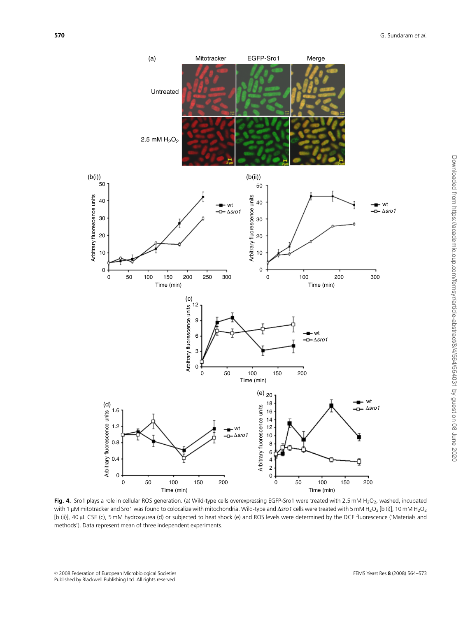

Fig. 4. Sro1 plays a role in cellular ROS generation. (a) Wild-type cells overexpressing EGFP-Sro1 were treated with 2.5 mM H<sub>2</sub>O<sub>2</sub>, washed, incubated with 1 µM mitotracker and Sro1 was found to colocalize with mitochondria. Wild-type and  $\Delta s$ ro1 cells were treated with 5 mM H<sub>2</sub>O<sub>2</sub> [b (i)], 10 mM H<sub>2</sub>O<sub>2</sub> [b (ii)], 40 mL CSE (c), 5 mM hydroxyurea (d) or subjected to heat shock (e) and ROS levels were determined by the DCF fluorescence ('Materials and methods'). Data represent mean of three independent experiments.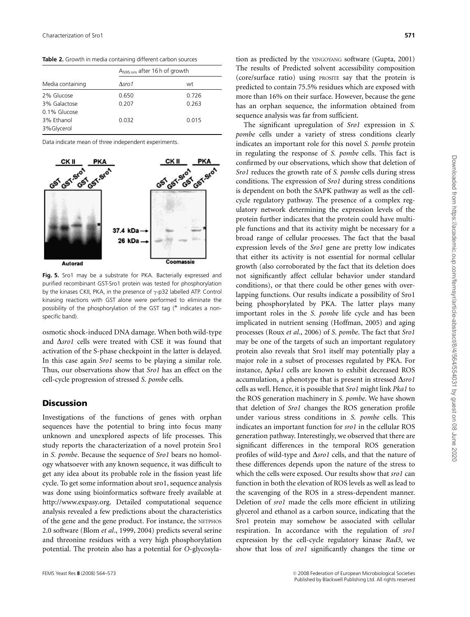Table 2. Growth in media containing different carbon sources

|                  | $A_{595nm}$ after 16 h of growth |       |  |
|------------------|----------------------------------|-------|--|
| Media containing | Asro 1                           | wt    |  |
| 2% Glucose       | 0.650                            | 0.726 |  |
| 3% Galactose     | 0.207                            | 0.263 |  |
| 0.1% Glucose     |                                  |       |  |
| 3% Ethanol       | 0.032                            | 0.015 |  |
| 3%Glycerol       |                                  |       |  |

Data indicate mean of three independent experiments.



Fig. 5. Sro1 may be a substrate for PKA. Bacterially expressed and purified recombinant GST-Sro1 protein was tested for phosphorylation by the kinases CKII, PKA, in the presence of g-p32 labelled ATP. Control kinasing reactions with GST alone were performed to eliminate the possibility of the phosphorylation of the GST tag (\* indicates a nonspecific band).

osmotic shock-induced DNA damage. When both wild-type and  $\Delta$ sro1 cells were treated with CSE it was found that activation of the S-phase checkpoint in the latter is delayed. In this case again Sro1 seems to be playing a similar role. Thus, our observations show that Sro1 has an effect on the cell-cycle progression of stressed S. pombe cells.

## **Discussion**

Investigations of the functions of genes with orphan sequences have the potential to bring into focus many unknown and unexplored aspects of life processes. This study reports the characterization of a novel protein Sro1 in S. pombe. Because the sequence of Sro1 bears no homology whatsoever with any known sequence, it was difficult to get any idea about its probable role in the fission yeast life cycle. To get some information about sro1, sequence analysis was done using bioinformatics software freely available at http://www.expasy.org. Detailed computational sequence analysis revealed a few predictions about the characteristics of the gene and the gene product. For instance, the NETPHOS 2.0 software (Blom et al., 1999, 2004) predicts several serine and threonine residues with a very high phosphorylation potential. The protein also has a potential for O-glycosylation as predicted by the YINGOYANG software (Gupta, 2001) The results of Predicted solvent accessibility composition (core/surface ratio) using PROSITE say that the protein is predicted to contain 75.5% residues which are exposed with more than 16% on their surface. However, because the gene has an orphan sequence, the information obtained from sequence analysis was far from sufficient.

The significant upregulation of Sro1 expression in S. pombe cells under a variety of stress conditions clearly indicates an important role for this novel S. pombe protein in regulating the response of S. pombe cells. This fact is confirmed by our observations, which show that deletion of Sro1 reduces the growth rate of S. pombe cells during stress conditions. The expression of Sro1 during stress conditions is dependent on both the SAPK pathway as well as the cellcycle regulatory pathway. The presence of a complex regulatory network determining the expression levels of the protein further indicates that the protein could have multiple functions and that its activity might be necessary for a broad range of cellular processes. The fact that the basal expression levels of the Sro1 gene are pretty low indicates that either its activity is not essential for normal cellular growth (also corroborated by the fact that its deletion does not significantly affect cellular behavior under standard conditions), or that there could be other genes with overlapping functions. Our results indicate a possibility of Sro1 being phosphorylated by PKA. The latter plays many important roles in the S. pombe life cycle and has been implicated in nutrient sensing (Hoffman, 2005) and aging processes (Roux et al., 2006) of S. pombe. The fact that Sro1 may be one of the targets of such an important regulatory protein also reveals that Sro1 itself may potentially play a major role in a subset of processes regulated by PKA. For instance,  $\Delta p$ ka1 cells are known to exhibit decreased ROS accumulation, a phenotype that is present in stressed  $\Delta$ sro1 cells as well. Hence, it is possible that Sro1 might link Pka1 to the ROS generation machinery in S. pombe. We have shown that deletion of Sro1 changes the ROS generation profile under various stress conditions in S. pombe cells. This indicates an important function for sro1 in the cellular ROS generation pathway. Interestingly, we observed that there are significant differences in the temporal ROS generation profiles of wild-type and  $\Delta s$ ro1 cells, and that the nature of these differences depends upon the nature of the stress to which the cells were exposed. Our results show that sro1 can function in both the elevation of ROS levels as well as lead to the scavenging of the ROS in a stress-dependent manner. Deletion of sro1 made the cells more efficient in utilizing glycerol and ethanol as a carbon source, indicating that the Sro1 protein may somehow be associated with cellular respiration. In accordance with the regulation of sro1 expression by the cell-cycle regulatory kinase Rad3, we show that loss of sro1 significantly changes the time or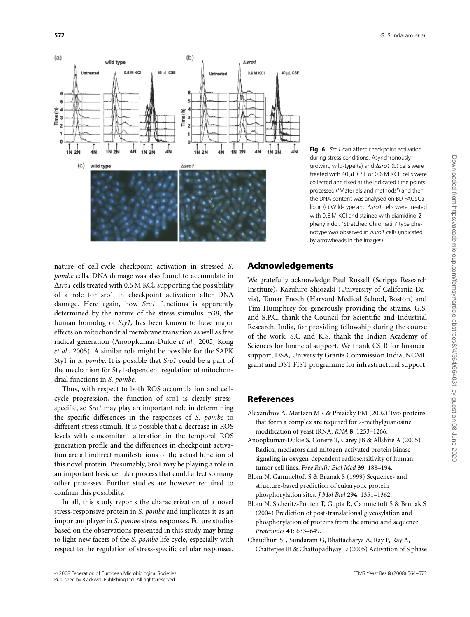

Fig. 6. Sro1 can affect checkpoint activation during stress conditions. Asynchronously growing wild-type (a) and  $\Delta$ sro1 (b) cells were treated with 40 µL CSE or 0.6 M KCl, cells were collected and fixed at the indicated time points, processed ('Materials and methods') and then the DNA content was analysed on BD FACSCalibur. (c) Wild-type and  $\Delta s$ ro1 cells were treated with 0.6 M KCl and stained with diamidino-2 phenylindol. 'Stretched Chromatin' type phenotype was observed in  $\Delta s$ ro1 cells (indicated by arrowheads in the images).

nature of cell-cycle checkpoint activation in stressed S. pombe cells. DNA damage was also found to accumulate in  $\Delta$ *sro1* cells treated with 0.6 M KCl, supporting the possibility of a role for sro1 in checkpoint activation after DNA damage. Here again, how Sro1 functions is apparently determined by the nature of the stress stimulus. p38, the human homolog of Sty1, has been known to have major effects on mitochondrial membrane transition as well as free radical generation (Anoopkumar-Dukie et al., 2005; Kong et al., 2005). A similar role might be possible for the SAPK Sty1 in S. pombe. It is possible that Sro1 could be a part of the mechanism for Sty1-dependent regulation of mitochondrial functions in S. pombe.

Thus, with respect to both ROS accumulation and cellcycle progression, the function of sro1 is clearly stressspecific, so Sro1 may play an important role in determining the specific differences in the responses of S. pombe to different stress stimuli. It is possible that a decrease in ROS levels with concomitant alteration in the temporal ROS generation profile and the differences in checkpoint activation are all indirect manifestations of the actual function of this novel protein. Presumably, Sro1 may be playing a role in an important basic cellular process that could affect so many other processes. Further studies are however required to confirm this possibility.

In all, this study reports the characterization of a novel stress-responsive protein in S. pombe and implicates it as an important player in S. pombe stress responses. Future studies based on the observations presented in this study may bring to light new facets of the S. pombe life cycle, especially with respect to the regulation of stress-specific cellular responses.

# Acknowledgements

We gratefully acknowledge Paul Russell (Scripps Research Institute), Kazuhiro Shiozaki (University of California Davis), Tamar Enoch (Harvard Medical School, Boston) and Tim Humphrey for generously providing the strains. G.S. and S.P.C. thank the Council for Scientific and Industrial Research, India, for providing fellowship during the course of the work. S.C and K.S. thank the Indian Academy of Sciences for financial support. We thank CSIR for financial support, DSA, University Grants Commission India, NCMP grant and DST FIST programme for infrastructural support.

# References

- Alexandrov A, Martzen MR & Phizicky EM (2002) Two proteins that form a complex are required for 7-methylguanosine modification of yeast tRNA. RNA 8: 1253–1266.
- Anoopkumar-Dukie S, Conere T, Carey JB & Allshire A (2005) Radical mediators and mitogen-activated protein kinase signaling in oxygen-dependent radiosensitivity of human tumor cell lines. Free Radic Biol Med 39: 188–194.
- Blom N, Gammeltoft S & Brunak S (1999) Sequence- and structure-based prediction of eukaryotic protein phosphorylation sites. J Mol Biol 294: 1351–1362.
- Blom N, Sicheritz-Ponten T, Gupta R, Gammeltoft S & Brunak S (2004) Prediction of post-translational glycosylation and phosphorylation of proteins from the amino acid sequence. Proteomics 41: 633–649.
- Chaudhuri SP, Sundaram G, Bhattacharya A, Ray P, Ray A, Chatterjee IB & Chattopadhyay D (2005) Activation of S phase